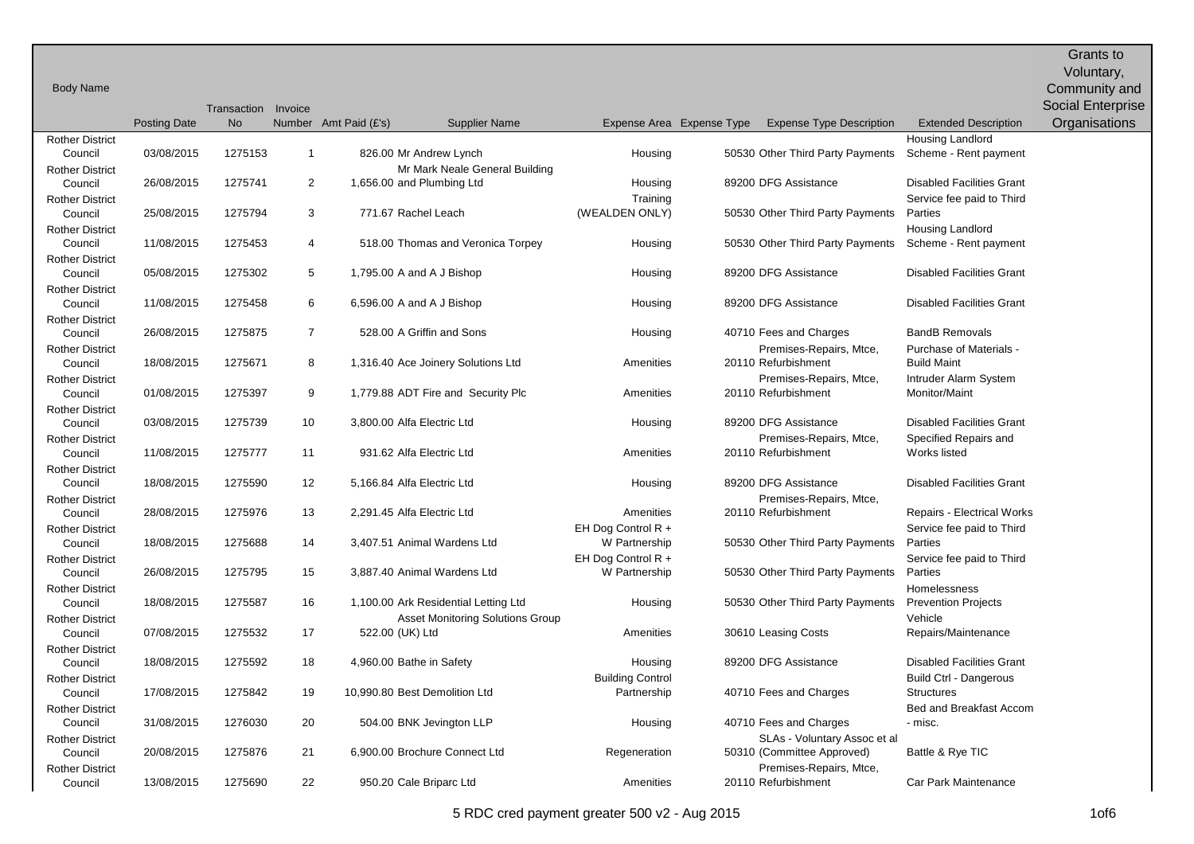Body Name Posting Date Transaction Invoice No Number Amt Paid (£'s) Supplier Name Expense Area Expense Type Expense Type Description Extended Description Grants to Voluntary, Community and Social Enterprise **Organisations** Rother District Council 03/08/2015 1275153 1 826.00 Mr Andrew Lynch Housing 50530 Other Third Party Payments Housing Landlord Scheme - Rent payment Rother District Council 26/08/2015 1275741 2 1,656.00 Mr Mark Neale General Building 89200 DFG Assistance Disabled Facilities Grant Rother District Council 25/08/2015 1275794 3 771.67 Rachel Leach Housing **Training** (WEALDEN ONLY) 50530 Other Third Party Payments Service fee paid to Third Parties Rother District Council 11/08/2015 1275453 4 518.00 Thomas and Veronica Torpey Housing 50530 Other Third Party Payments Housing Landlord Scheme - Rent payment Rother District Council 05/08/2015 1275302 5 1,795.00 A and A J Bishop Housing 89200 DFG Assistance Disabled Facilities Grant Rother District Council 11/08/2015 1275458 6 6,596.00 A and A J Bishop Housing Busing 89200 DFG Assistance Disabled Facilities Grant Rother District Council 26/08/2015 1275875 7 528.00 A Griffin and Sons Housing 40710 Fees and Charges BandB Removals Rother District Council 18/08/2015 1275671 8 1,316.40 Ace Joinery Solutions Ltd Amenities Premises-Repairs, Mtce, 20110 Refurbishment Purchase of Materials - Build Maint Rother District Council 01/08/2015 1275397 9 1,779.88 ADT Fire and Security Plc 2011 Amenities Premises-Repairs, Mtce, 20110 Refurbishment Intruder Alarm System Monitor/Maint Rother District Council 03/08/2015 1275739 10 3,800.00 Alfa Electric Ltd Housing 89200 DFG Assistance Disabled Facilities Grant Rother District Council 11/08/2015 1275777 11 931.62 Alfa Electric Ltd 2011 Premises-Repairs, Mtce, 20110 Refurbishment Specified Repairs and Works listed Rother District Council 18/08/2015 1275590 12 5,166.84 Alfa Electric Ltd Housing 89200 DFG Assistance Disabled Facilities Grant Rother District Council 28/08/2015 1275976 13 2.291.45 Alfa Electric Ltd **Amenities** 20110 Refurbishment Premises-Repairs, Mtce, Repairs - Electrical Works Rother District Council 18/08/2015 1275688 14 3,407.51 Animal Wardens Ltd EH Dog Control R + W Partnership 50530 Other Third Party Payments Service fee paid to Third Parties Rother District Council 26/08/2015 1275795 15 3,887.40 Animal Wardens Ltd EH Dog Control R + W Partnership 50530 Other Third Party Payments Service fee paid to Third Parties Rother District Council 18/08/2015 1275587 16 1,100.00 Ark Residential Letting Ltd Housing 50530 Other Third Party Payments **Homelessness** Prevention Projects Rother District Council 07/08/2015 1275532 17 522.00 (UK) Ltd Asset Monitoring Solutions Group Amenities 30610 Leasing Costs Vehicle Repairs/Maintenance Rother District Council 18/08/2015 1275592 18 4,960.00 Bathe in Safety Housing Busing 89200 DFG Assistance Disabled Facilities Grant Rother District Council 17/08/2015 1275842 19 10,990.80 Best Demolition Ltd Building Control Partnership 40710 Fees and Charges Build Ctrl - Dangerous **Structures** Rother District Council 31/08/2015 1276030 20 504.00 BNK Jevington LLP Housing 40710 Fees and Charges Bed and Breakfast Accom - misc. Rother District Council 20/08/2015 1275876 21 6,900.00 Brochure Connect Ltd Regeneration SLAs - Voluntary Assoc et al 50310 (Committee Approved) Battle & Rye TIC Rother District Council 13/08/2015 1275690 22 950.20 Cale Briparc Ltd **Amenities** 20110 Refurbishment Premises-Repairs, Mtce, **Car Park Maintenance**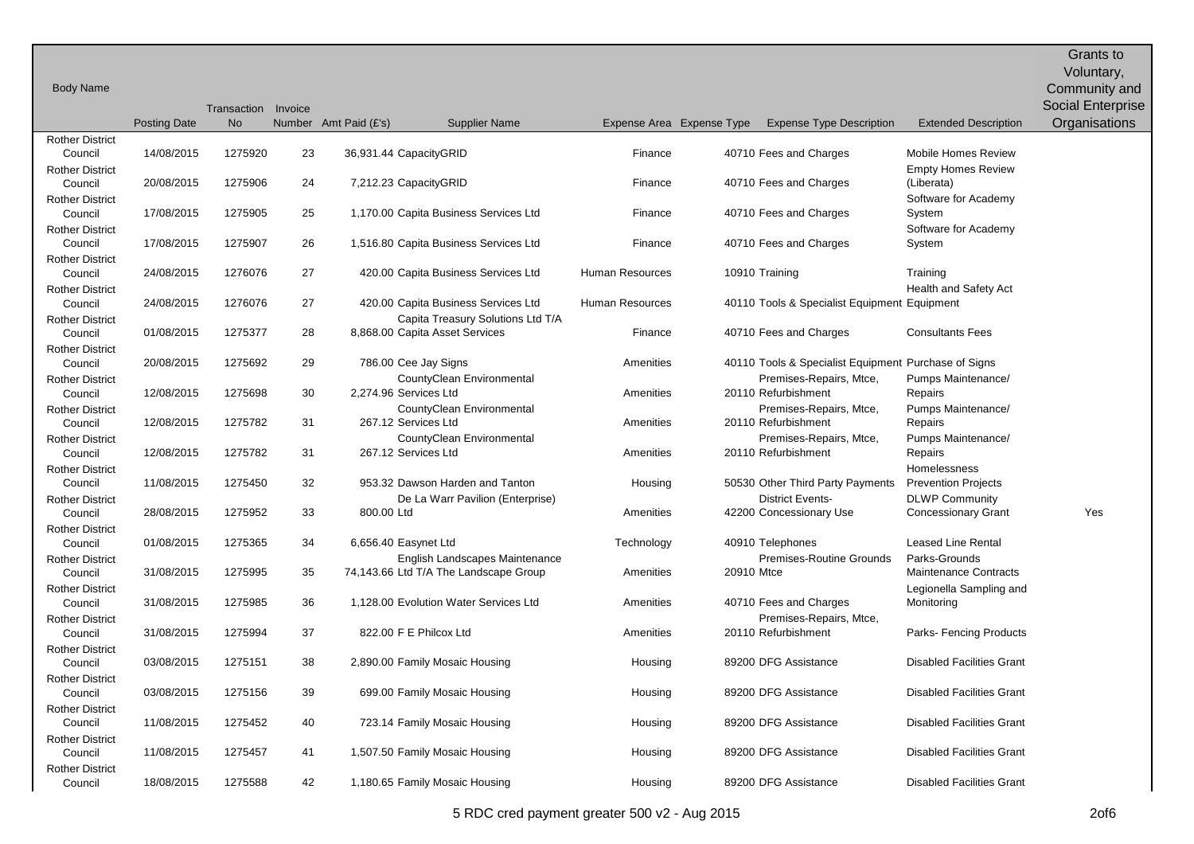|                                   |                     |                     |    |                                                                     |                           |            |                                                      |                                       | Grants to                   |
|-----------------------------------|---------------------|---------------------|----|---------------------------------------------------------------------|---------------------------|------------|------------------------------------------------------|---------------------------------------|-----------------------------|
| <b>Body Name</b>                  |                     |                     |    |                                                                     |                           |            |                                                      |                                       | Voluntary,<br>Community and |
|                                   |                     | Transaction Invoice |    |                                                                     |                           |            |                                                      |                                       | Social Enterprise           |
|                                   | <b>Posting Date</b> | <b>No</b>           |    | Number Amt Paid (£'s)<br><b>Supplier Name</b>                       | Expense Area Expense Type |            | <b>Expense Type Description</b>                      | <b>Extended Description</b>           | Organisations               |
| <b>Rother District</b>            |                     |                     |    |                                                                     |                           |            |                                                      |                                       |                             |
| Council                           | 14/08/2015          | 1275920             | 23 | 36,931.44 CapacityGRID                                              | Finance                   |            | 40710 Fees and Charges                               | Mobile Homes Review                   |                             |
| <b>Rother District</b>            |                     |                     |    |                                                                     |                           |            |                                                      | <b>Empty Homes Review</b>             |                             |
| Council                           | 20/08/2015          | 1275906             | 24 | 7,212.23 CapacityGRID                                               | Finance                   |            | 40710 Fees and Charges                               | (Liberata)                            |                             |
| <b>Rother District</b><br>Council | 17/08/2015          | 1275905             | 25 | 1,170.00 Capita Business Services Ltd                               | Finance                   |            | 40710 Fees and Charges                               | Software for Academy<br>System        |                             |
| <b>Rother District</b>            |                     |                     |    |                                                                     |                           |            |                                                      | Software for Academy                  |                             |
| Council                           | 17/08/2015          | 1275907             | 26 | 1,516.80 Capita Business Services Ltd                               | Finance                   |            | 40710 Fees and Charges                               | System                                |                             |
| <b>Rother District</b>            |                     |                     |    |                                                                     |                           |            |                                                      |                                       |                             |
| Council                           | 24/08/2015          | 1276076             | 27 | 420.00 Capita Business Services Ltd                                 | <b>Human Resources</b>    |            | 10910 Training                                       | Training                              |                             |
| <b>Rother District</b>            |                     |                     |    |                                                                     |                           |            |                                                      | Health and Safety Act                 |                             |
| Council                           | 24/08/2015          | 1276076             | 27 | 420.00 Capita Business Services Ltd                                 | Human Resources           |            | 40110 Tools & Specialist Equipment Equipment         |                                       |                             |
| <b>Rother District</b><br>Council | 01/08/2015          | 1275377             | 28 | Capita Treasury Solutions Ltd T/A<br>8,868.00 Capita Asset Services | Finance                   |            | 40710 Fees and Charges                               | <b>Consultants Fees</b>               |                             |
| <b>Rother District</b>            |                     |                     |    |                                                                     |                           |            |                                                      |                                       |                             |
| Council                           | 20/08/2015          | 1275692             | 29 | 786.00 Cee Jay Signs                                                | Amenities                 |            | 40110 Tools & Specialist Equipment Purchase of Signs |                                       |                             |
| <b>Rother District</b>            |                     |                     |    | CountyClean Environmental                                           |                           |            | Premises-Repairs, Mtce,                              | Pumps Maintenance/                    |                             |
| Council                           | 12/08/2015          | 1275698             | 30 | 2,274.96 Services Ltd                                               | Amenities                 |            | 20110 Refurbishment                                  | Repairs                               |                             |
| <b>Rother District</b>            |                     |                     |    | CountyClean Environmental                                           |                           |            | Premises-Repairs, Mtce,                              | Pumps Maintenance/                    |                             |
| Council                           | 12/08/2015          | 1275782             | 31 | 267.12 Services Ltd                                                 | Amenities                 |            | 20110 Refurbishment                                  | Repairs                               |                             |
| <b>Rother District</b>            |                     | 1275782             |    | CountyClean Environmental<br>267.12 Services Ltd                    |                           |            | Premises-Repairs, Mtce,<br>20110 Refurbishment       | Pumps Maintenance/                    |                             |
| Council<br><b>Rother District</b> | 12/08/2015          |                     | 31 |                                                                     | Amenities                 |            |                                                      | Repairs<br>Homelessness               |                             |
| Council                           | 11/08/2015          | 1275450             | 32 | 953.32 Dawson Harden and Tanton                                     | Housing                   |            | 50530 Other Third Party Payments                     | <b>Prevention Projects</b>            |                             |
| <b>Rother District</b>            |                     |                     |    | De La Warr Pavilion (Enterprise)                                    |                           |            | <b>District Events-</b>                              | <b>DLWP Community</b>                 |                             |
| Council                           | 28/08/2015          | 1275952             | 33 | 800.00 Ltd                                                          | Amenities                 |            | 42200 Concessionary Use                              | <b>Concessionary Grant</b>            | Yes                         |
| <b>Rother District</b>            |                     |                     |    |                                                                     |                           |            |                                                      |                                       |                             |
| Council                           | 01/08/2015          | 1275365             | 34 | 6,656.40 Easynet Ltd                                                | Technology                |            | 40910 Telephones                                     | <b>Leased Line Rental</b>             |                             |
| <b>Rother District</b>            |                     |                     |    | English Landscapes Maintenance                                      |                           |            | <b>Premises-Routine Grounds</b>                      | Parks-Grounds                         |                             |
| Council                           | 31/08/2015          | 1275995             | 35 | 74,143.66 Ltd T/A The Landscape Group                               | Amenities                 | 20910 Mtce |                                                      | <b>Maintenance Contracts</b>          |                             |
| <b>Rother District</b><br>Council | 31/08/2015          | 1275985             | 36 | 1,128.00 Evolution Water Services Ltd                               | Amenities                 |            | 40710 Fees and Charges                               | Legionella Sampling and<br>Monitoring |                             |
| <b>Rother District</b>            |                     |                     |    |                                                                     |                           |            | Premises-Repairs, Mtce,                              |                                       |                             |
| Council                           | 31/08/2015          | 1275994             | 37 | 822.00 F E Philcox Ltd                                              | Amenities                 |            | 20110 Refurbishment                                  | Parks-Fencing Products                |                             |
| <b>Rother District</b>            |                     |                     |    |                                                                     |                           |            |                                                      |                                       |                             |
| Council                           | 03/08/2015          | 1275151             | 38 | 2,890.00 Family Mosaic Housing                                      | Housing                   |            | 89200 DFG Assistance                                 | <b>Disabled Facilities Grant</b>      |                             |
| <b>Rother District</b>            |                     |                     |    |                                                                     |                           |            |                                                      |                                       |                             |
| Council                           | 03/08/2015          | 1275156             | 39 | 699.00 Family Mosaic Housing                                        | Housing                   |            | 89200 DFG Assistance                                 | <b>Disabled Facilities Grant</b>      |                             |
| <b>Rother District</b>            | 11/08/2015          | 1275452             | 40 | 723.14 Family Mosaic Housing                                        | Housing                   |            | 89200 DFG Assistance                                 | <b>Disabled Facilities Grant</b>      |                             |
| Council<br><b>Rother District</b> |                     |                     |    |                                                                     |                           |            |                                                      |                                       |                             |
| Council                           | 11/08/2015          | 1275457             | 41 | 1,507.50 Family Mosaic Housing                                      | Housing                   |            | 89200 DFG Assistance                                 | <b>Disabled Facilities Grant</b>      |                             |
| <b>Rother District</b>            |                     |                     |    |                                                                     |                           |            |                                                      |                                       |                             |
| Council                           | 18/08/2015          | 1275588             | 42 | 1,180.65 Family Mosaic Housing                                      | Housing                   |            | 89200 DFG Assistance                                 | <b>Disabled Facilities Grant</b>      |                             |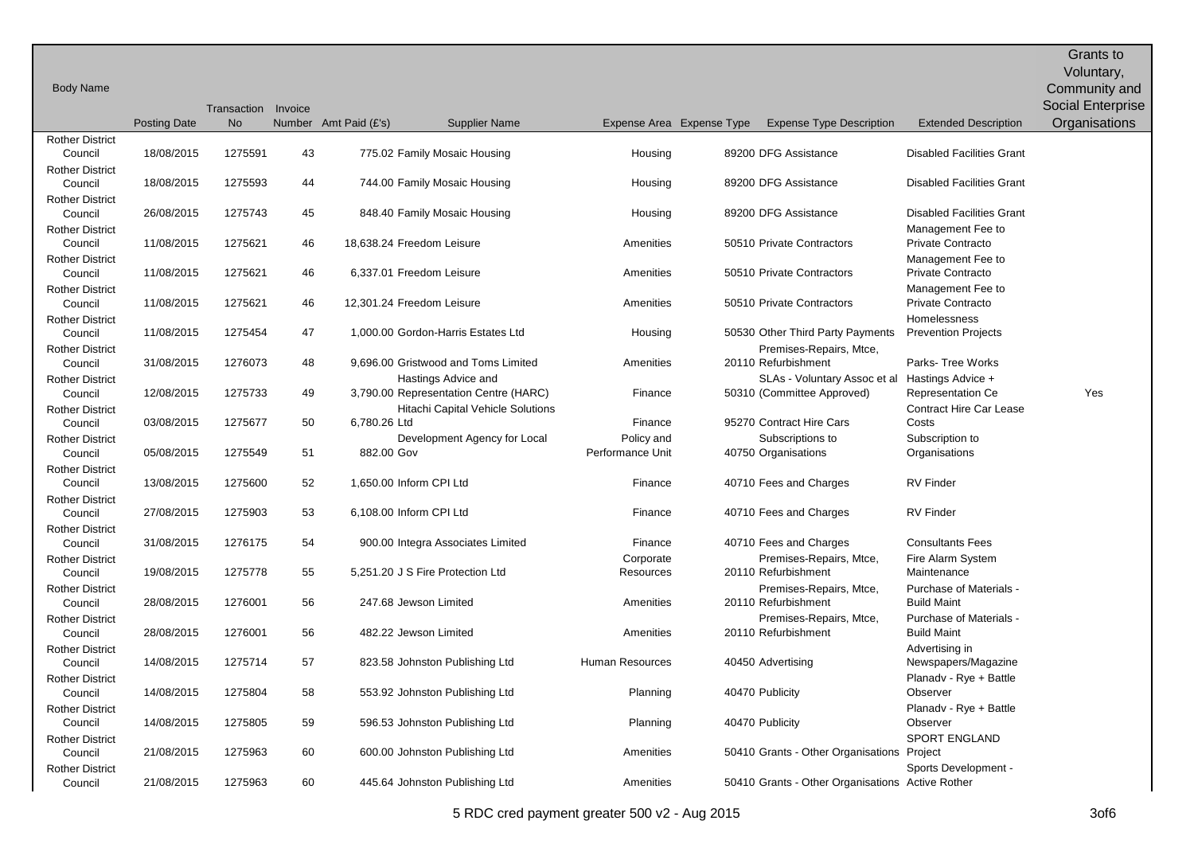|                                   |                     |                     |    |                                                            |                           |                                                     |                                               | Grants to                |
|-----------------------------------|---------------------|---------------------|----|------------------------------------------------------------|---------------------------|-----------------------------------------------------|-----------------------------------------------|--------------------------|
|                                   |                     |                     |    |                                                            |                           |                                                     |                                               | Voluntary,               |
| <b>Body Name</b>                  |                     |                     |    |                                                            |                           |                                                     |                                               | Community and            |
|                                   |                     | Transaction Invoice |    |                                                            |                           |                                                     |                                               | <b>Social Enterprise</b> |
|                                   | <b>Posting Date</b> | <b>No</b>           |    | Number Amt Paid (£'s)<br><b>Supplier Name</b>              | Expense Area Expense Type | <b>Expense Type Description</b>                     | <b>Extended Description</b>                   | Organisations            |
| <b>Rother District</b><br>Council | 18/08/2015          | 1275591             | 43 | 775.02 Family Mosaic Housing                               | Housing                   | 89200 DFG Assistance                                | <b>Disabled Facilities Grant</b>              |                          |
| <b>Rother District</b>            |                     |                     |    |                                                            |                           |                                                     |                                               |                          |
| Council                           | 18/08/2015          | 1275593             | 44 | 744.00 Family Mosaic Housing                               | Housing                   | 89200 DFG Assistance                                | <b>Disabled Facilities Grant</b>              |                          |
| <b>Rother District</b>            |                     |                     |    |                                                            |                           |                                                     |                                               |                          |
| Council                           | 26/08/2015          | 1275743             | 45 | 848.40 Family Mosaic Housing                               | Housing                   | 89200 DFG Assistance                                | <b>Disabled Facilities Grant</b>              |                          |
| <b>Rother District</b>            |                     |                     |    |                                                            |                           |                                                     | Management Fee to                             |                          |
| Council<br><b>Rother District</b> | 11/08/2015          | 1275621             | 46 | 18,638.24 Freedom Leisure                                  | Amenities                 | 50510 Private Contractors                           | Private Contracto<br>Management Fee to        |                          |
| Council                           | 11/08/2015          | 1275621             | 46 | 6,337.01 Freedom Leisure                                   | Amenities                 | 50510 Private Contractors                           | Private Contracto                             |                          |
| <b>Rother District</b>            |                     |                     |    |                                                            |                           |                                                     | Management Fee to                             |                          |
| Council                           | 11/08/2015          | 1275621             | 46 | 12,301.24 Freedom Leisure                                  | Amenities                 | 50510 Private Contractors                           | Private Contracto                             |                          |
| <b>Rother District</b>            |                     |                     |    |                                                            |                           |                                                     | Homelessness                                  |                          |
| Council                           | 11/08/2015          | 1275454             | 47 | 1.000.00 Gordon-Harris Estates Ltd                         | Housing                   | 50530 Other Third Party Payments                    | <b>Prevention Projects</b>                    |                          |
| <b>Rother District</b>            |                     |                     |    |                                                            |                           | Premises-Repairs, Mtce,                             |                                               |                          |
| Council<br><b>Rother District</b> | 31/08/2015          | 1276073             | 48 | 9,696.00 Gristwood and Toms Limited<br>Hastings Advice and | Amenities                 | 20110 Refurbishment<br>SLAs - Voluntary Assoc et al | Parks-Tree Works<br>Hastings Advice +         |                          |
| Council                           | 12/08/2015          | 1275733             | 49 | 3,790.00 Representation Centre (HARC)                      | Finance                   | 50310 (Committee Approved)                          | <b>Representation Ce</b>                      | Yes                      |
| <b>Rother District</b>            |                     |                     |    | Hitachi Capital Vehicle Solutions                          |                           |                                                     | <b>Contract Hire Car Lease</b>                |                          |
| Council                           | 03/08/2015          | 1275677             | 50 | 6,780.26 Ltd                                               | Finance                   | 95270 Contract Hire Cars                            | Costs                                         |                          |
| <b>Rother District</b>            |                     |                     |    | Development Agency for Local                               | Policy and                | Subscriptions to                                    | Subscription to                               |                          |
| Council                           | 05/08/2015          | 1275549             | 51 | 882.00 Gov                                                 | Performance Unit          | 40750 Organisations                                 | Organisations                                 |                          |
| <b>Rother District</b>            | 13/08/2015          | 1275600             | 52 | 1,650.00 Inform CPI Ltd                                    | Finance                   |                                                     | <b>RV Finder</b>                              |                          |
| Council<br><b>Rother District</b> |                     |                     |    |                                                            |                           | 40710 Fees and Charges                              |                                               |                          |
| Council                           | 27/08/2015          | 1275903             | 53 | 6,108.00 Inform CPI Ltd                                    | Finance                   | 40710 Fees and Charges                              | <b>RV Finder</b>                              |                          |
| <b>Rother District</b>            |                     |                     |    |                                                            |                           |                                                     |                                               |                          |
| Council                           | 31/08/2015          | 1276175             | 54 | 900.00 Integra Associates Limited                          | Finance                   | 40710 Fees and Charges                              | <b>Consultants Fees</b>                       |                          |
| <b>Rother District</b>            |                     |                     |    |                                                            | Corporate                 | Premises-Repairs, Mtce,                             | Fire Alarm System                             |                          |
| Council                           | 19/08/2015          | 1275778             | 55 | 5.251.20 J S Fire Protection Ltd                           | Resources                 | 20110 Refurbishment                                 | Maintenance                                   |                          |
| <b>Rother District</b><br>Council | 28/08/2015          | 1276001             | 56 | 247.68 Jewson Limited                                      | Amenities                 | Premises-Repairs, Mtce,<br>20110 Refurbishment      | Purchase of Materials -<br><b>Build Maint</b> |                          |
| <b>Rother District</b>            |                     |                     |    |                                                            |                           | Premises-Repairs, Mtce,                             | Purchase of Materials -                       |                          |
| Council                           | 28/08/2015          | 1276001             | 56 | 482.22 Jewson Limited                                      | Amenities                 | 20110 Refurbishment                                 | <b>Build Maint</b>                            |                          |
| <b>Rother District</b>            |                     |                     |    |                                                            |                           |                                                     | Advertising in                                |                          |
| Council                           | 14/08/2015          | 1275714             | 57 | 823.58 Johnston Publishing Ltd                             | Human Resources           | 40450 Advertising                                   | Newspapers/Magazine                           |                          |
| <b>Rother District</b>            |                     |                     |    |                                                            |                           |                                                     | Planadv - Rye + Battle                        |                          |
| Council                           | 14/08/2015          | 1275804             | 58 | 553.92 Johnston Publishing Ltd                             | Planning                  | 40470 Publicity                                     | Observer                                      |                          |
| <b>Rother District</b><br>Council | 14/08/2015          | 1275805             | 59 | 596.53 Johnston Publishing Ltd                             | Planning                  | 40470 Publicity                                     | Planadv - Rye + Battle<br>Observer            |                          |
| <b>Rother District</b>            |                     |                     |    |                                                            |                           |                                                     | <b>SPORT ENGLAND</b>                          |                          |
| Council                           | 21/08/2015          | 1275963             | 60 | 600.00 Johnston Publishing Ltd                             | Amenities                 | 50410 Grants - Other Organisations Project          |                                               |                          |
| <b>Rother District</b>            |                     |                     |    |                                                            |                           |                                                     | Sports Development -                          |                          |
| Council                           | 21/08/2015          | 1275963             | 60 | 445.64 Johnston Publishing Ltd                             | Amenities                 | 50410 Grants - Other Organisations Active Rother    |                                               |                          |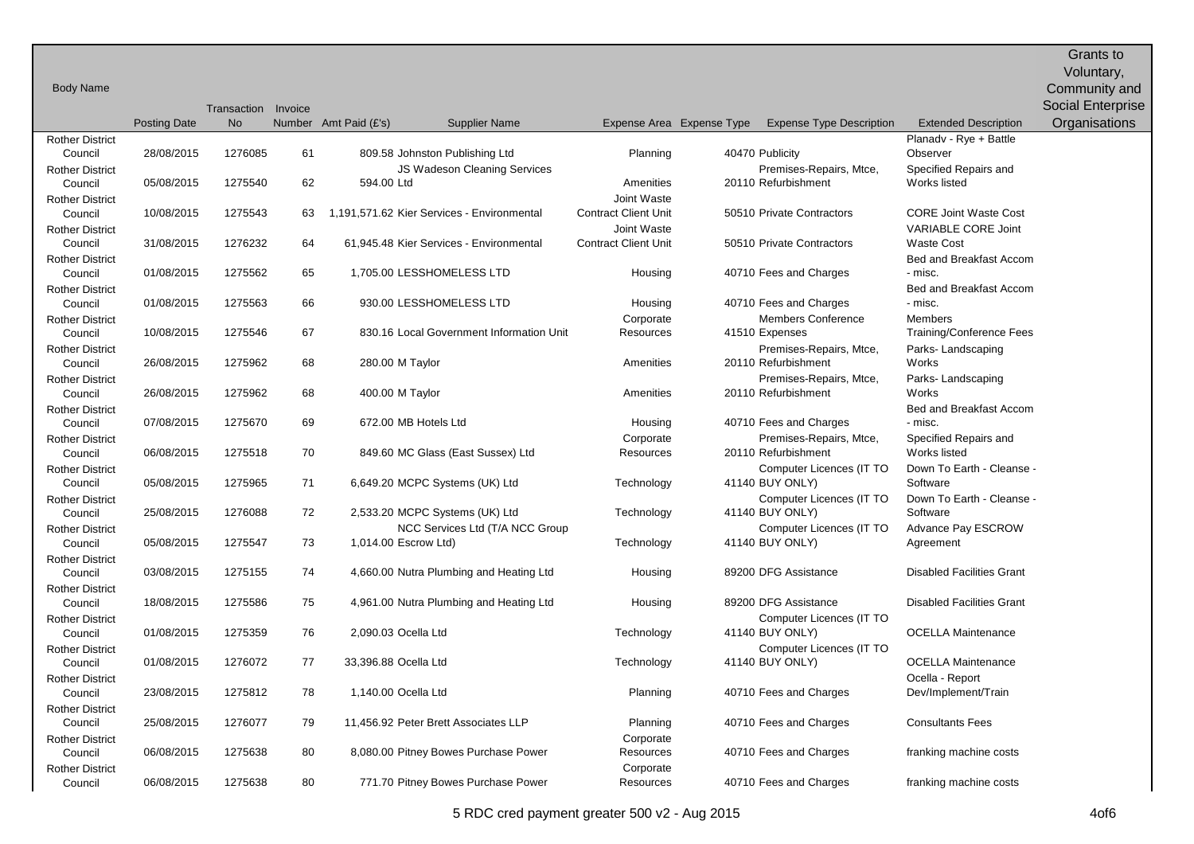Body Name Posting Date Transaction Invoice No Number Amt Paid (£'s) Supplier Name Expense Area Expense Type Expense Type Description Extended Description Grants to Voluntary, Community and Social Enterprise **Organisations** Rother District Council 28/08/2015 1276085 61 809.58 Johnston Publishing Ltd Planning 40470 Publicity Planadv - Rye + Battle **Observer** Rother District Council 05/08/2015 1275540 62 594.00 JS Wadeson Cleaning Services **Amenities** Premises-Repairs, Mtce, 20110 Refurbishment Specified Repairs and Works listed Rother District Council 10/08/2015 1275543 63 1,191,571.62 Kier Services - Environmental Joint Waste Contract Client Unit 50510 Private Contractors CORE Joint Waste Cost Rother District Council 31/08/2015 1276232 64 61,945.48 Kier Services - Environmental Joint Waste Contract Client Unit 50510 Private Contractors VARIABLE CORE Joint Waste Cost Rother District Council 01/08/2015 1275562 65 1,705.00 LESSHOMELESS LTD Housing 40710 Fees and Charges Bed and Breakfast Accom - misc. Rother District Council 01/08/2015 1275563 66 930.00 LESSHOMELESS LTD Housing 40710 Fees and Charges Bed and Breakfast Accom - misc. Rother District Council 10/08/2015 1275546 67 830.16 Local Government Information Unit Corporate **Resources** Members Conference 41510 Expenses Members Training/Conference Fees Rother District Council 26/08/2015 1275962 68 280.00 M Taylor Amenities Amenities 20110 Premises-Repairs, Mtce, 20110 Refurbishment Parks- Landscaping Works Rother District Council 26/08/2015 1275962 68 400.00 M Taylor 2011 12:00 Amenities Premises-Repairs, Mtce, 20110 Refurbishment Parks- Landscaping **Works** Rother District Council 07/08/2015 1275670 69 672.00 MB Hotels Ltd Housing 40710 Fees and Charges Bed and Breakfast Accom - misc. Rother District Council 06/08/2015 1275518 70 849.60 MC Glass (East Sussex) Ltd **Corporate Resources** Premises-Repairs, Mtce, 20110 Refurbishment Specified Repairs and Works listed Rother District Council 05/08/2015 1275965 71 6,649.20 MCPC Systems (UK) Ltd Technology Computer Licences (IT TO 41140 BUY ONLY) Down To Earth - Cleanse - **Software** Rother District Council 25/08/2015 1276088 72 2,533.20 MCPC Systems (UK) Ltd Technology 41140 Computer Licences (IT TO 41140 BUY ONLY) Down To Earth - Cleanse - **Software** Rother District Council 05/08/2015 1275547 73 1,014.00 NCC Services Ltd (T/A NCC Group Technology Computer Licences (IT TO 41140 BUY ONLY) Advance Pay ESCROW Agreement Rother District Council 03/08/2015 1275155 74 4,660.00 Nutra Plumbing and Heating Ltd Housing 89200 DFG Assistance Disabled Facilities Grant Rother District Council 18/08/2015 1275586 75 4,961.00 Nutra Plumbing and Heating Ltd Housing 89200 DFG Assistance Disabled Facilities Grant Rother District Council 01/08/2015 1275359 76 2,090.03 Ocella Ltd Technology 41140 Computer Licences (IT TO **OCELLA Maintenance** Rother District Council 01/08/2015 1276072 77 33,396.88 Ocella Ltd Technology 41140 Computer Licences (IT TO **OCELLA Maintenance** Rother District Council 23/08/2015 1275812 78 1,140.00 Ocella Ltd Planning 40710 Fees and Charges Ocella - Report Dev/Implement/Train Rother District Council 25/08/2015 1276077 79 11,456.92 Peter Brett Associates LLP Planning 40710 Fees and Charges Consultants Fees Rother District Council 06/08/2015 1275638 80 8,080.00 Pitney Bowes Purchase Power **Corporate** Resources 40710 Fees and Charges franking machine costs Rother District Council 06/08/2015 1275638 80 771.70 Pitney Bowes Purchase Power Corporate Resources 40710 Fees and Charges franking machine costs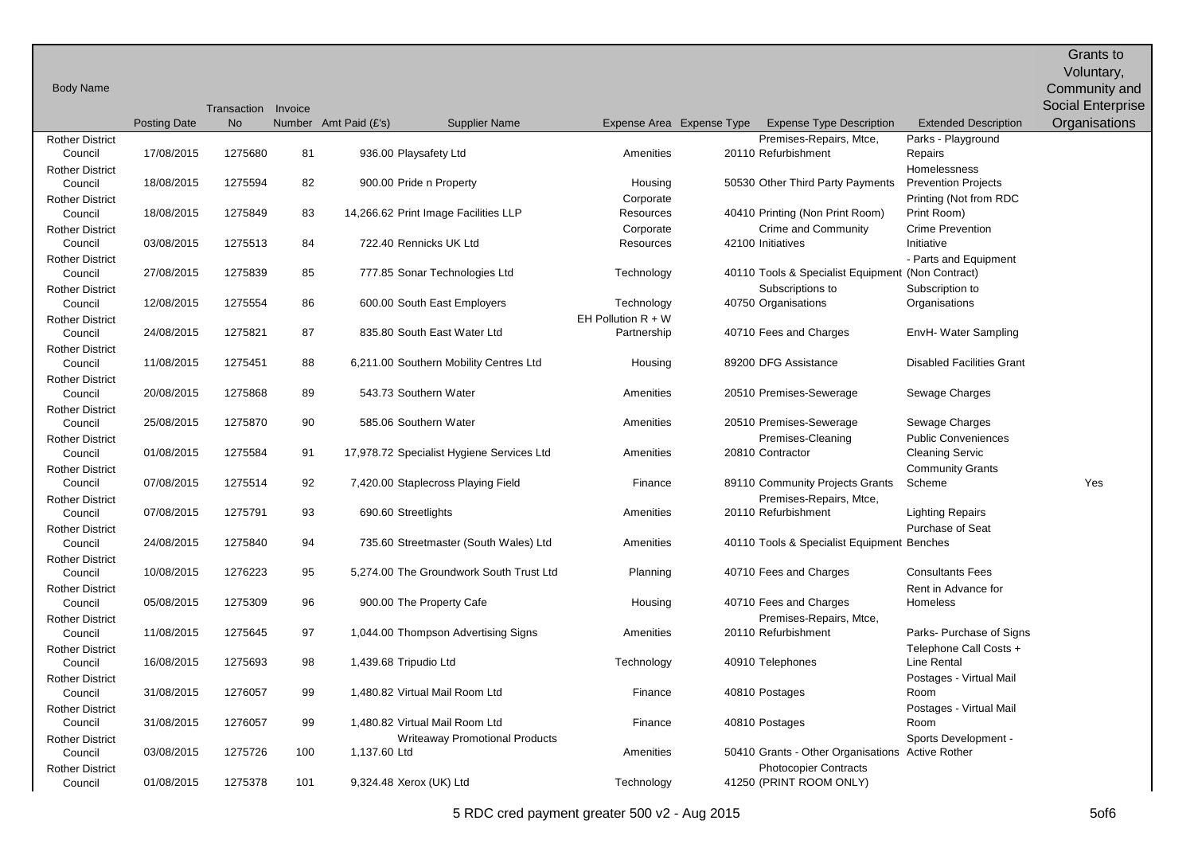|                                   |                     |                                  |     |                                           |                        |                           |                                                            |                                                   | Grants to                                 |
|-----------------------------------|---------------------|----------------------------------|-----|-------------------------------------------|------------------------|---------------------------|------------------------------------------------------------|---------------------------------------------------|-------------------------------------------|
|                                   |                     |                                  |     |                                           |                        |                           |                                                            |                                                   | Voluntary,                                |
| <b>Body Name</b>                  |                     |                                  |     |                                           |                        |                           |                                                            |                                                   | Community and                             |
|                                   |                     | Transaction Invoice<br><b>No</b> |     | Number Amt Paid (£'s)                     |                        | Expense Area Expense Type |                                                            |                                                   | <b>Social Enterprise</b><br>Organisations |
| <b>Rother District</b>            | <b>Posting Date</b> |                                  |     | <b>Supplier Name</b>                      |                        |                           | <b>Expense Type Description</b><br>Premises-Repairs, Mtce, | <b>Extended Description</b><br>Parks - Playground |                                           |
| Council                           | 17/08/2015          | 1275680                          | 81  | 936.00 Playsafety Ltd                     | Amenities              |                           | 20110 Refurbishment                                        | Repairs                                           |                                           |
| <b>Rother District</b>            |                     |                                  |     |                                           |                        |                           |                                                            | Homelessness                                      |                                           |
| Council                           | 18/08/2015          | 1275594                          | 82  | 900.00 Pride n Property                   | Housing                |                           | 50530 Other Third Party Payments                           | <b>Prevention Projects</b>                        |                                           |
| <b>Rother District</b>            |                     |                                  |     |                                           | Corporate              |                           |                                                            | Printing (Not from RDC                            |                                           |
| Council                           | 18/08/2015          | 1275849                          | 83  | 14,266.62 Print Image Facilities LLP      | Resources              |                           | 40410 Printing (Non Print Room)                            | Print Room)                                       |                                           |
| <b>Rother District</b>            | 03/08/2015          | 1275513                          | 84  | 722.40 Rennicks UK Ltd                    | Corporate<br>Resources |                           | Crime and Community<br>42100 Initiatives                   | <b>Crime Prevention</b><br>Initiative             |                                           |
| Council<br><b>Rother District</b> |                     |                                  |     |                                           |                        |                           |                                                            | - Parts and Equipment                             |                                           |
| Council                           | 27/08/2015          | 1275839                          | 85  | 777.85 Sonar Technologies Ltd             | Technology             |                           | 40110 Tools & Specialist Equipment                         | (Non Contract)                                    |                                           |
| <b>Rother District</b>            |                     |                                  |     |                                           |                        |                           | Subscriptions to                                           | Subscription to                                   |                                           |
| Council                           | 12/08/2015          | 1275554                          | 86  | 600.00 South East Employers               | Technology             |                           | 40750 Organisations                                        | Organisations                                     |                                           |
| <b>Rother District</b>            |                     |                                  |     |                                           | EH Pollution $R + W$   |                           |                                                            |                                                   |                                           |
| Council                           | 24/08/2015          | 1275821                          | 87  | 835.80 South East Water Ltd               | Partnership            |                           | 40710 Fees and Charges                                     | EnvH- Water Sampling                              |                                           |
| <b>Rother District</b>            |                     |                                  |     |                                           |                        |                           |                                                            |                                                   |                                           |
| Council<br><b>Rother District</b> | 11/08/2015          | 1275451                          | 88  | 6,211.00 Southern Mobility Centres Ltd    | Housing                |                           | 89200 DFG Assistance                                       | <b>Disabled Facilities Grant</b>                  |                                           |
| Council                           | 20/08/2015          | 1275868                          | 89  | 543.73 Southern Water                     | Amenities              |                           | 20510 Premises-Sewerage                                    | Sewage Charges                                    |                                           |
| <b>Rother District</b>            |                     |                                  |     |                                           |                        |                           |                                                            |                                                   |                                           |
| Council                           | 25/08/2015          | 1275870                          | 90  | 585.06 Southern Water                     | Amenities              |                           | 20510 Premises-Sewerage                                    | Sewage Charges                                    |                                           |
| <b>Rother District</b>            |                     |                                  |     |                                           |                        |                           | Premises-Cleaning                                          | <b>Public Conveniences</b>                        |                                           |
| Council                           | 01/08/2015          | 1275584                          | 91  | 17,978.72 Specialist Hygiene Services Ltd | Amenities              |                           | 20810 Contractor                                           | <b>Cleaning Servic</b>                            |                                           |
| <b>Rother District</b>            |                     |                                  |     |                                           |                        |                           |                                                            | <b>Community Grants</b>                           |                                           |
| Council                           | 07/08/2015          | 1275514                          | 92  | 7,420.00 Staplecross Playing Field        | Finance                |                           | 89110 Community Projects Grants                            | Scheme                                            | Yes                                       |
| <b>Rother District</b>            | 07/08/2015          | 1275791                          | 93  |                                           | Amenities              |                           | Premises-Repairs, Mtce,<br>20110 Refurbishment             |                                                   |                                           |
| Council<br><b>Rother District</b> |                     |                                  |     | 690.60 Streetlights                       |                        |                           |                                                            | <b>Lighting Repairs</b><br>Purchase of Seat       |                                           |
| Council                           | 24/08/2015          | 1275840                          | 94  | 735.60 Streetmaster (South Wales) Ltd     | Amenities              |                           | 40110 Tools & Specialist Equipment                         | Benches                                           |                                           |
| <b>Rother District</b>            |                     |                                  |     |                                           |                        |                           |                                                            |                                                   |                                           |
| Council                           | 10/08/2015          | 1276223                          | 95  | 5,274.00 The Groundwork South Trust Ltd   | Planning               |                           | 40710 Fees and Charges                                     | <b>Consultants Fees</b>                           |                                           |
| <b>Rother District</b>            |                     |                                  |     |                                           |                        |                           |                                                            | Rent in Advance for                               |                                           |
| Council                           | 05/08/2015          | 1275309                          | 96  | 900.00 The Property Cafe                  | Housing                |                           | 40710 Fees and Charges                                     | Homeless                                          |                                           |
| <b>Rother District</b>            |                     |                                  |     |                                           |                        |                           | Premises-Repairs, Mtce,                                    |                                                   |                                           |
| Council                           | 11/08/2015          | 1275645                          | 97  | 1,044.00 Thompson Advertising Signs       | Amenities              |                           | 20110 Refurbishment                                        | Parks- Purchase of Signs                          |                                           |
| <b>Rother District</b><br>Council | 16/08/2015          | 1275693                          | 98  | 1,439.68 Tripudio Ltd                     | Technology             |                           | 40910 Telephones                                           | Telephone Call Costs +<br>Line Rental             |                                           |
| <b>Rother District</b>            |                     |                                  |     |                                           |                        |                           |                                                            | Postages - Virtual Mail                           |                                           |
| Council                           | 31/08/2015          | 1276057                          | 99  | 1,480.82 Virtual Mail Room Ltd            | Finance                |                           | 40810 Postages                                             | Room                                              |                                           |
| <b>Rother District</b>            |                     |                                  |     |                                           |                        |                           |                                                            | Postages - Virtual Mail                           |                                           |
| Council                           | 31/08/2015          | 1276057                          | 99  | 1,480.82 Virtual Mail Room Ltd            | Finance                |                           | 40810 Postages                                             | Room                                              |                                           |
| <b>Rother District</b>            |                     |                                  |     | <b>Writeaway Promotional Products</b>     |                        |                           |                                                            | Sports Development -                              |                                           |
| Council<br><b>Rother District</b> | 03/08/2015          | 1275726                          | 100 | 1,137.60 Ltd                              | Amenities              |                           | 50410 Grants - Other Organisations                         | <b>Active Rother</b>                              |                                           |
|                                   |                     |                                  |     |                                           |                        |                           | <b>Photocopier Contracts</b>                               |                                                   |                                           |